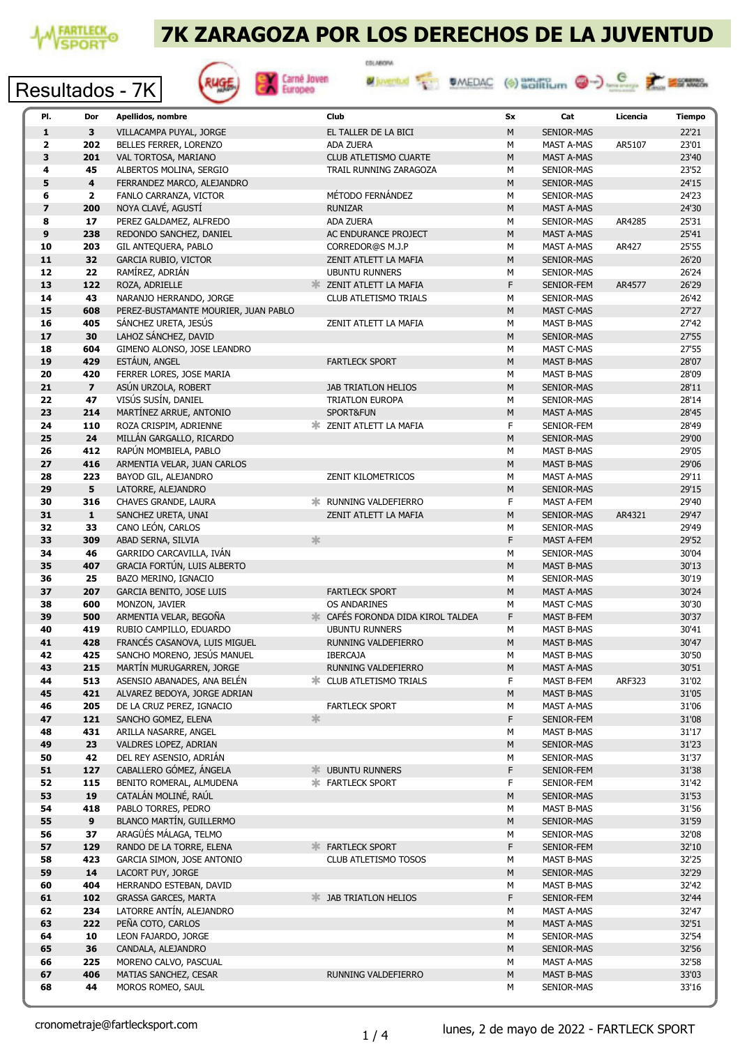

### 7K ZARAGOZA POR LOS DERECHOS DE LA JUVENTUD







| PI.                     | Dor                     | Apellidos, nombre                    |   | Club                                     | Sx        | Cat               | Licencia      | Tiempo |
|-------------------------|-------------------------|--------------------------------------|---|------------------------------------------|-----------|-------------------|---------------|--------|
| $\mathbf{1}$            | 3                       | VILLACAMPA PUYAL, JORGE              |   | EL TALLER DE LA BICI                     | M         | <b>SENIOR-MAS</b> |               | 22'21  |
| $\overline{\mathbf{2}}$ | 202                     | BELLES FERRER, LORENZO               |   | ADA ZUERA                                | М         | MAST A-MAS        | AR5107        | 23'01  |
|                         |                         |                                      |   |                                          |           |                   |               |        |
| $\overline{\mathbf{3}}$ | 201                     | VAL TORTOSA, MARIANO                 |   | <b>CLUB ATLETISMO CUARTE</b>             | M         | <b>MAST A-MAS</b> |               | 23'40  |
| 4                       | 45                      | ALBERTOS MOLINA, SERGIO              |   | TRAIL RUNNING ZARAGOZA                   | М         | SENIOR-MAS        |               | 23'52  |
| 5                       | 4                       | FERRANDEZ MARCO, ALEJANDRO           |   |                                          | M         | SENIOR-MAS        |               | 24'15  |
| 6                       | $\mathbf{2}$            | FANLO CARRANZA, VICTOR               |   | MÉTODO FERNÁNDEZ                         | M         | SENIOR-MAS        |               | 24'23  |
| $\overline{\mathbf{z}}$ | 200                     | NOYA CLAVÉ, AGUSTÍ                   |   | <b>RUNIZAR</b>                           | M         | <b>MAST A-MAS</b> |               | 24'30  |
| 8                       | 17                      | PEREZ GALDAMEZ, ALFREDO              |   | ADA ZUERA                                | М         | SENIOR-MAS        | AR4285        | 25'31  |
| 9                       | 238                     | REDONDO SANCHEZ, DANIEL              |   | AC ENDURANCE PROJECT                     | M         | MAST A-MAS        |               | 25'41  |
| 10                      | 203                     | GIL ANTEQUERA, PABLO                 |   | CORREDOR@S M.J.P                         |           |                   |               | 25'55  |
|                         |                         |                                      |   |                                          | М         | MAST A-MAS        | AR427         |        |
| 11                      | 32                      | <b>GARCIA RUBIO, VICTOR</b>          |   | ZENIT ATLETT LA MAFIA                    | M         | SENIOR-MAS        |               | 26'20  |
| 12                      | 22                      | RAMÍREZ, ADRIÁN                      |   | <b>UBUNTU RUNNERS</b>                    | М         | SENIOR-MAS        |               | 26'24  |
| 13                      | 122                     | ROZA, ADRIELLE                       |   | <b>X ZENIT ATLETT LA MAFIA</b>           | F         | SENIOR-FEM        | AR4577        | 26'29  |
| 14                      | 43                      | NARANJO HERRANDO, JORGE              |   | <b>CLUB ATLETISMO TRIALS</b>             | М         | SENIOR-MAS        |               | 26'42  |
| 15                      | 608                     | PEREZ-BUSTAMANTE MOURIER, JUAN PABLO |   |                                          | M         | MAST C-MAS        |               | 27'27  |
| 16                      | 405                     | SÁNCHEZ URETA, JESÚS                 |   | ZENIT ATLETT LA MAFIA                    | М         | <b>MAST B-MAS</b> |               | 27'42  |
| 17                      | 30                      | LAHOZ SÁNCHEZ, DAVID                 |   |                                          | M         | <b>SENIOR-MAS</b> |               | 27'55  |
| 18                      | 604                     | GIMENO ALONSO, JOSE LEANDRO          |   |                                          |           |                   |               | 27'55  |
|                         |                         |                                      |   |                                          | М         | MAST C-MAS        |               |        |
| 19                      | 429                     | ESTÁUN, ANGEL                        |   | <b>FARTLECK SPORT</b>                    | M         | <b>MAST B-MAS</b> |               | 28'07  |
| 20                      | 420                     | FERRER LORES, JOSE MARIA             |   |                                          | M         | <b>MAST B-MAS</b> |               | 28'09  |
| 21                      | $\overline{\mathbf{z}}$ | ASÚN URZOLA, ROBERT                  |   | <b>JAB TRIATLON HELIOS</b>               | M         | <b>SENIOR-MAS</b> |               | 28'11  |
| 22                      | 47                      | VISÚS SUSÍN, DANIEL                  |   | <b>TRIATLON EUROPA</b>                   | М         | SENIOR-MAS        |               | 28'14  |
| 23                      | 214                     | MARTÍNEZ ARRUE, ANTONIO              |   | SPORT&FUN                                | M         | <b>MAST A-MAS</b> |               | 28'45  |
| 24                      | 110                     | ROZA CRISPIM, ADRIENNE               |   | <b>* ZENIT ATLETT LA MAFIA</b>           | F         | SENIOR-FEM        |               | 28'49  |
| 25                      | 24                      | MILLÁN GARGALLO, RICARDO             |   |                                          | M         | SENIOR-MAS        |               | 29'00  |
| 26                      | 412                     | RAPÚN MOMBIELA, PABLO                |   |                                          | М         | <b>MAST B-MAS</b> |               | 29'05  |
| 27                      | 416                     | ARMENTIA VELAR, JUAN CARLOS          |   |                                          | M         | <b>MAST B-MAS</b> |               | 29'06  |
|                         |                         |                                      |   |                                          |           |                   |               |        |
| 28                      | 223                     | BAYOD GIL, ALEJANDRO                 |   | ZENIT KILOMETRICOS                       | М         | MAST A-MAS        |               | 29'11  |
| 29                      | 5                       | LATORRE, ALEJANDRO                   |   |                                          | M         | SENIOR-MAS        |               | 29'15  |
| 30                      | 316                     | CHAVES GRANDE, LAURA                 |   | <b> ※ RUNNING VALDEFIERRO</b>            | F         | MAST A-FEM        |               | 29'40  |
| 31                      | $\mathbf{1}$            | SANCHEZ URETA, UNAI                  |   | ZENIT ATLETT LA MAFIA                    | M         | <b>SENIOR-MAS</b> | AR4321        | 29'47  |
| 32                      | 33                      | CANO LEÓN, CARLOS                    |   |                                          | М         | SENIOR-MAS        |               | 29'49  |
| 33                      | 309                     | ABAD SERNA, SILVIA                   | ≭ |                                          | F.        | <b>MAST A-FEM</b> |               | 29'52  |
| 34                      | 46                      | GARRIDO CARCAVILLA, IVÁN             |   |                                          | M         | SENIOR-MAS        |               | 30'04  |
| 35                      | 407                     | GRACIA FORTÚN, LUIS ALBERTO          |   |                                          | M         | <b>MAST B-MAS</b> |               | 30'13  |
| 36                      | 25                      | BAZO MERINO, IGNACIO                 |   |                                          | М         | SENIOR-MAS        |               | 30'19  |
| 37                      | 207                     | <b>GARCIA BENITO, JOSE LUIS</b>      |   | <b>FARTLECK SPORT</b>                    | M         | MAST A-MAS        |               | 30'24  |
| 38                      | 600                     | MONZON, JAVIER                       |   | <b>OS ANDARINES</b>                      | М         | <b>MAST C-MAS</b> |               | 30'30  |
| 39                      | 500                     | ARMENTIA VELAR, BEGOÑA               |   | <b>K CAFÉS FORONDA DIDA KIROL TALDEA</b> | F         | MAST B-FEM        |               | 30'37  |
|                         |                         |                                      |   |                                          |           |                   |               |        |
| 40                      | 419                     | RUBIO CAMPILLO, EDUARDO              |   | <b>UBUNTU RUNNERS</b>                    | М         | <b>MAST B-MAS</b> |               | 30'41  |
| 41                      | 428                     | FRANCÉS CASANOVA, LUIS MIGUEL        |   | RUNNING VALDEFIERRO                      | M         | <b>MAST B-MAS</b> |               | 30'47  |
| 42                      | 425                     | SANCHO MORENO, JESÚS MANUEL          |   | <b>IBERCAJA</b>                          | М         | <b>MAST B-MAS</b> |               | 30'50  |
| 43                      | 215                     | MARTÍN MURUGARREN, JORGE             |   | <b>RUNNING VALDEFIERRO</b>               | М         | <b>MAST A-MAS</b> |               | 30'51  |
| 44                      | 513                     | ASENSIO ABANADES, ANA BELÉN          |   | <b>* CLUB ATLETISMO TRIALS</b>           | F         | MAST B-FEM        | <b>ARF323</b> | 31'02  |
| 45                      | 421                     | ALVAREZ BEDOYA, JORGE ADRIAN         |   |                                          | M         | <b>MAST B-MAS</b> |               | 31'05  |
| 46                      | 205                     | DE LA CRUZ PEREZ, IGNACIO            |   | <b>FARTLECK SPORT</b>                    | М         | MAST A-MAS        |               | 31'06  |
| 47                      | 121                     | SANCHO GOMEZ, ELENA                  | * |                                          | F         | SENIOR-FEM        |               | 31'08  |
| 48                      | 431                     | ARILLA NASARRE, ANGEL                |   |                                          | М         | MAST B-MAS        |               | 31'17  |
| 49                      | 23                      | VALDRES LOPEZ, ADRIAN                |   |                                          | ${\sf M}$ | SENIOR-MAS        |               | 31'23  |
| 50                      | 42                      | DEL REY ASENSIO, ADRIÁN              |   |                                          | М         | SENIOR-MAS        |               | 31'37  |
| 51                      | 127                     | CABALLERO GÓMEZ, ÁNGELA              |   | <b>* UBUNTU RUNNERS</b>                  | F         | SENIOR-FEM        |               | 31'38  |
| 52                      | 115                     | BENITO ROMERAL, ALMUDENA             |   | <b>* FARTLECK SPORT</b>                  | F         |                   |               | 31'42  |
|                         |                         |                                      |   |                                          |           | SENIOR-FEM        |               |        |
| 53                      | 19                      | CATALÁN MOLINÉ, RAÚL                 |   |                                          | ${\sf M}$ | SENIOR-MAS        |               | 31'53  |
| 54                      | 418                     | PABLO TORRES, PEDRO                  |   |                                          | М         | MAST B-MAS        |               | 31'56  |
| 55                      | 9                       | BLANCO MARTÍN, GUILLERMO             |   |                                          | ${\sf M}$ | SENIOR-MAS        |               | 31'59  |
| 56                      | 37                      | ARAGÜÉS MÁLAGA, TELMO                |   |                                          | М         | SENIOR-MAS        |               | 32'08  |
| 57                      | 129                     | RANDO DE LA TORRE, ELENA             |   | <b>EARTLECK SPORT</b>                    | F         | SENIOR-FEM        |               | 32'10  |
| 58                      | 423                     | GARCIA SIMON, JOSE ANTONIO           |   | CLUB ATLETISMO TOSOS                     | M         | MAST B-MAS        |               | 32'25  |
| 59                      | 14                      | LACORT PUY, JORGE                    |   |                                          | M         | SENIOR-MAS        |               | 32'29  |
| 60                      | 404                     | HERRANDO ESTEBAN, DAVID              |   |                                          | М         | MAST B-MAS        |               | 32'42  |
| 61                      | 102                     | <b>GRASSA GARCES, MARTA</b>          |   | <b>X JAB TRIATLON HELIOS</b>             | F         | SENIOR-FEM        |               | 32'44  |
| 62                      | 234                     | LATORRE ANTÍN, ALEJANDRO             |   |                                          | М         | MAST A-MAS        |               | 32'47  |
| 63                      | 222                     | PEÑA COTO, CARLOS                    |   |                                          | ${\sf M}$ | MAST A-MAS        |               | 32'51  |
| 64                      | 10                      | LEON FAJARDO, JORGE                  |   |                                          | м         | SENIOR-MAS        |               | 32'54  |
| 65                      | 36                      | CANDALA, ALEJANDRO                   |   |                                          | M         | SENIOR-MAS        |               | 32'56  |
| 66                      | 225                     | MORENO CALVO, PASCUAL                |   |                                          | М         | MAST A-MAS        |               | 32'58  |
| 67                      | 406                     |                                      |   |                                          | ${\sf M}$ |                   |               | 33'03  |
|                         |                         | MATIAS SANCHEZ, CESAR                |   | RUNNING VALDEFIERRO                      |           | MAST B-MAS        |               |        |
| 68                      | 44                      | MOROS ROMEO, SAUL                    |   |                                          | М         | SENIOR-MAS        |               | 33'16  |
|                         |                         |                                      |   |                                          |           |                   |               |        |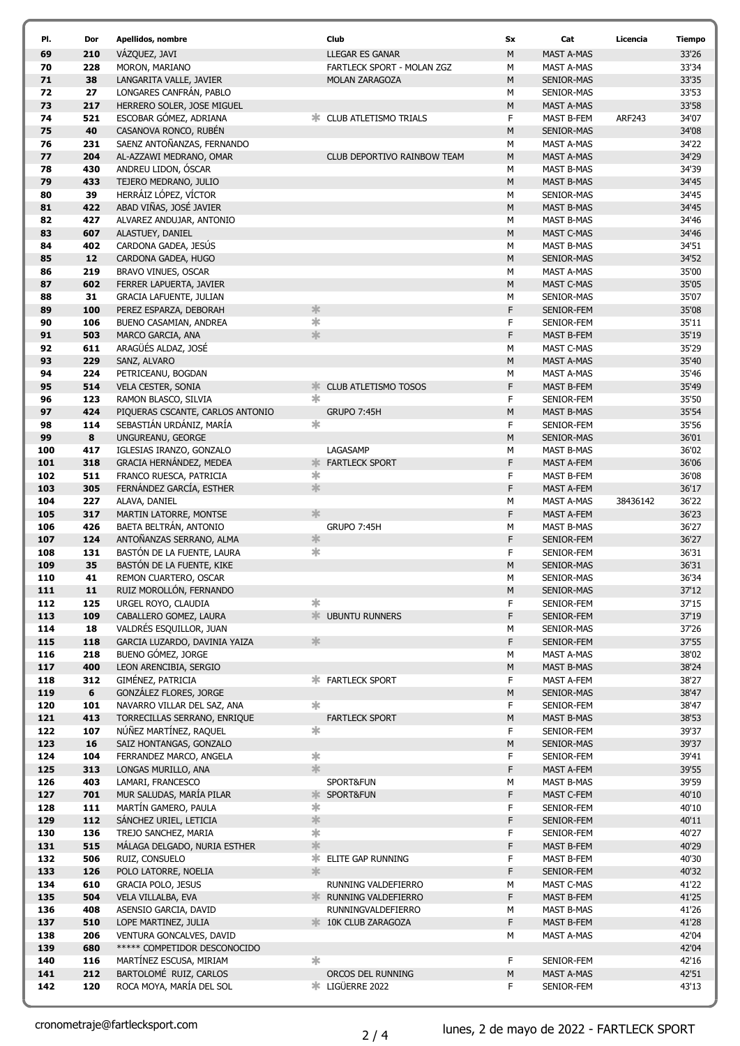| PI.        | Dor        | Apellidos, nombre                                        |                                | Club                               | <b>Sx</b> | Cat                                    | Licencia      | <b>Tiempo</b>  |
|------------|------------|----------------------------------------------------------|--------------------------------|------------------------------------|-----------|----------------------------------------|---------------|----------------|
| 69         | 210        | VÁZQUEZ, JAVI                                            |                                | <b>LLEGAR ES GANAR</b>             | M         | <b>MAST A-MAS</b>                      |               | 33'26          |
| 70         | 228        | MORON, MARIANO                                           |                                | <b>FARTLECK SPORT - MOLAN ZGZ</b>  | М         | <b>MAST A-MAS</b>                      |               | 33'34          |
| 71         | 38         | LANGARITA VALLE, JAVIER                                  |                                | <b>MOLAN ZARAGOZA</b>              | M         | SENIOR-MAS                             |               | 33'35          |
| 72         | 27         | LONGARES CANFRÁN, PABLO                                  |                                |                                    | М         | SENIOR-MAS                             |               | 33'53          |
| 73         | 217        | HERRERO SOLER, JOSE MIGUEL                               |                                |                                    | M         | <b>MAST A-MAS</b>                      |               | 33'58          |
| 74         | 521        | ESCOBAR GÓMEZ, ADRIANA                                   |                                | <b>EXAMPLE ATLETISMO TRIALS</b>    | F         | MAST B-FEM                             | <b>ARF243</b> | 34'07          |
| 75<br>76   | 40<br>231  | CASANOVA RONCO, RUBÉN<br>SAENZ ANTOÑANZAS, FERNANDO      |                                |                                    | M         | SENIOR-MAS                             |               | 34'08<br>34'22 |
| 77         | 204        | AL-AZZAWI MEDRANO, OMAR                                  |                                | <b>CLUB DEPORTIVO RAINBOW TEAM</b> | М<br>M    | MAST A-MAS<br><b>MAST A-MAS</b>        |               | 34'29          |
| 78         | 430        | ANDREU LIDON, ÓSCAR                                      |                                |                                    | М         | <b>MAST B-MAS</b>                      |               | 34'39          |
| 79         | 433        | TEJERO MEDRANO, JULIO                                    |                                |                                    | M         | <b>MAST B-MAS</b>                      |               | 34'45          |
| 80         | 39         | HERRÁIZ LÓPEZ, VÍCTOR                                    |                                |                                    | М         | SENIOR-MAS                             |               | 34'45          |
| 81         | 422        | ABAD VIÑAS, JOSÉ JAVIER                                  |                                |                                    | M         | <b>MAST B-MAS</b>                      |               | 34'45          |
| 82         | 427        | ALVAREZ ANDUJAR, ANTONIO                                 |                                |                                    | М         | MAST B-MAS                             |               | 34'46          |
| 83         | 607        | ALASTUEY, DANIEL                                         |                                |                                    | M         | MAST C-MAS                             |               | 34'46          |
| 84         | 402        | CARDONA GADEA, JESÚS                                     |                                |                                    | М         | <b>MAST B-MAS</b>                      |               | 34'51          |
| 85         | 12         | CARDONA GADEA, HUGO                                      |                                |                                    | M         | SENIOR-MAS                             |               | 34'52          |
| 86         | 219        | BRAVO VINUES, OSCAR                                      |                                |                                    | М         | MAST A-MAS                             |               | 35'00          |
| 87         | 602        | FERRER LAPUERTA, JAVIER                                  |                                |                                    | M         | MAST C-MAS                             |               | 35'05          |
| 88         | 31         | <b>GRACIA LAFUENTE, JULIAN</b>                           |                                |                                    | М         | SENIOR-MAS                             |               | 35'07          |
| 89<br>90   | 100<br>106 | PEREZ ESPARZA, DEBORAH                                   | $\frac{1}{2}$<br>$\frac{1}{2}$ |                                    | F         | SENIOR-FEM                             |               | 35'08<br>35'11 |
| 91         | 503        | BUENO CASAMIAN, ANDREA<br>MARCO GARCIA, ANA              | $\frac{1}{2}$                  |                                    | F<br>F    | SENIOR-FEM<br><b>MAST B-FEM</b>        |               | 35'19          |
| 92         | 611        | ARAGÜÉS ALDAZ, JOSÉ                                      |                                |                                    | М         | MAST C-MAS                             |               | 35'29          |
| 93         | 229        | SANZ, ALVARO                                             |                                |                                    | M         | <b>MAST A-MAS</b>                      |               | 35'40          |
| 94         | 224        | PETRICEANU, BOGDAN                                       |                                |                                    | М         | MAST A-MAS                             |               | 35'46          |
| 95         | 514        | <b>VELA CESTER, SONIA</b>                                | ж.                             | <b>CLUB ATLETISMO TOSOS</b>        | F         | MAST B-FEM                             |               | 35'49          |
| 96         | 123        | RAMON BLASCO, SILVIA                                     | $\ast$                         |                                    | F         | SENIOR-FEM                             |               | 35'50          |
| 97         | 424        | PIQUERAS CSCANTE, CARLOS ANTONIO                         |                                | GRUPO 7:45H                        | М         | <b>MAST B-MAS</b>                      |               | 35'54          |
| 98         | 114        | SEBASTIÁN URDÁNIZ, MARÍA                                 | $\ast$                         |                                    | F         | SENIOR-FEM                             |               | 35'56          |
| 99         | 8          | UNGUREANU, GEORGE                                        |                                |                                    | М         | SENIOR-MAS                             |               | 36'01          |
| 100        | 417        | IGLESIAS IRANZO, GONZALO                                 |                                | LAGASAMP                           | М         | <b>MAST B-MAS</b>                      |               | 36'02          |
| 101        | 318        | GRACIA HERNÁNDEZ, MEDEA                                  | ж.                             | <b>FARTLECK SPORT</b>              | F         | <b>MAST A-FEM</b>                      |               | 36'06          |
| 102        | 511        | FRANCO RUESCA, PATRICIA                                  | ∗<br>氺                         |                                    | F         | MAST B-FEM                             |               | 36'08          |
| 103<br>104 | 305<br>227 | FERNÁNDEZ GARCÍA, ESTHER<br>ALAVA, DANIEL                |                                |                                    | F<br>М    | MAST A-FEM                             | 38436142      | 36'17<br>36'22 |
| 105        | 317        | MARTIN LATORRE, MONTSE                                   | 氺                              |                                    | F         | MAST A-MAS<br><b>MAST A-FEM</b>        |               | 36'23          |
| 106        | 426        | BAETA BELTRÁN, ANTONIO                                   |                                | GRUPO 7:45H                        | М         | <b>MAST B-MAS</b>                      |               | 36'27          |
| 107        | 124        | ANTOÑANZAS SERRANO, ALMA                                 | $\frac{1}{2}$                  |                                    | F         | SENIOR-FEM                             |               | 36'27          |
| 108        | 131        | BASTÓN DE LA FUENTE, LAURA                               | *                              |                                    | F         | SENIOR-FEM                             |               | 36'31          |
| 109        | 35         | BASTÓN DE LA FUENTE, KIKE                                |                                |                                    | M         | SENIOR-MAS                             |               | 36'31          |
| 110        | 41         | REMON CUARTERO, OSCAR                                    |                                |                                    | М         | SENIOR-MAS                             |               | 36'34          |
| 111        | ${\bf 11}$ | RUIZ MOROLLÓN, FERNANDO                                  |                                |                                    | М         | SENIOR-MAS                             |               | 37'12          |
| 112        | 125        | URGEL ROYO, CLAUDIA                                      | $\ast$                         |                                    | F         | SENIOR-FEM                             |               | 37'15          |
| 113        | 109        | CABALLERO GOMEZ, LAURA                                   |                                | <b>/ UBUNTU RUNNERS</b>            | F         | SENIOR-FEM                             |               | 37'19          |
| 114<br>115 | 18<br>118  | VALDRÉS ESQUILLOR, JUAN<br>GARCIA LUZARDO, DAVINIA YAIZA | 氺                              |                                    | М<br>F    | SENIOR-MAS<br>SENIOR-FEM               |               | 37'26<br>37'55 |
| 116        | 218        | BUENO GÓMEZ, JORGE                                       |                                |                                    | М         | MAST A-MAS                             |               | 38'02          |
| 117        | 400        | LEON ARENCIBIA, SERGIO                                   |                                |                                    | M         | <b>MAST B-MAS</b>                      |               | 38'24          |
| 118        | 312        | GIMÉNEZ, PATRICIA                                        |                                | <b>* FARTLECK SPORT</b>            | F         | <b>MAST A-FEM</b>                      |               | 38'27          |
| 119        | 6          | GONZÁLEZ FLORES, JORGE                                   |                                |                                    | ${\sf M}$ | SENIOR-MAS                             |               | 38'47          |
| 120        | 101        | NAVARRO VILLAR DEL SAZ, ANA                              | $\ast$                         |                                    | F         | SENIOR-FEM                             |               | 38'47          |
| 121        | 413        | TORRECILLAS SERRANO, ENRIQUE                             |                                | <b>FARTLECK SPORT</b>              | ${\sf M}$ | <b>MAST B-MAS</b>                      |               | 38'53          |
| 122        | 107        | NÚÑEZ MARTÍNEZ, RAQUEL                                   | *                              |                                    | F         | SENIOR-FEM                             |               | 39'37          |
| 123        | 16         | SAIZ HONTANGAS, GONZALO                                  |                                |                                    | ${\sf M}$ | SENIOR-MAS                             |               | 39'37          |
| 124        | 104        | FERRANDEZ MARCO, ANGELA                                  | $\ast$<br>氺                    |                                    | F         | SENIOR-FEM                             |               | 39'41          |
| 125<br>126 | 313<br>403 | LONGAS MURILLO, ANA<br>LAMARI, FRANCESCO                 |                                | SPORT&FUN                          | F<br>М    | <b>MAST A-FEM</b><br><b>MAST B-MAS</b> |               | 39'55<br>39'59 |
| 127        | 701        | MUR SALUDAS, MARÍA PILAR                                 | ж.                             | SPORT&FUN                          | F         | MAST C-FEM                             |               | 40'10          |
| 128        | 111        | MARTÍN GAMERO, PAULA                                     | 氺                              |                                    | F         | SENIOR-FEM                             |               | 40'10          |
| 129        | 112        | SÁNCHEZ URIEL, LETICIA                                   | $\frac{1}{2}$                  |                                    | F         | SENIOR-FEM                             |               | 40'11          |
| 130        | 136        | TREJO SANCHEZ, MARIA                                     | 宋                              |                                    | F         | SENIOR-FEM                             |               | 40'27          |
| 131        | 515        | MÁLAGA DELGADO, NURIA ESTHER                             | $\frac{1}{2}$                  |                                    | F         | MAST B-FEM                             |               | 40'29          |
| 132        | 506        | RUIZ, CONSUELO                                           |                                | <b>* ELITE GAP RUNNING</b>         | F         | MAST B-FEM                             |               | 40'30          |
| 133        | 126        | POLO LATORRE, NOELIA                                     | $\frac{1}{2}$                  |                                    | F         | SENIOR-FEM                             |               | 40'32          |
| 134        | 610        | <b>GRACIA POLO, JESUS</b>                                |                                | RUNNING VALDEFIERRO                | М         | MAST C-MAS                             |               | 41'22          |
| 135        | 504        | VELA VILLALBA, EVA                                       |                                | <b>* RUNNING VALDEFIERRO</b>       | F         | MAST B-FEM                             |               | 41'25          |
| 136        | 408        | ASENSIO GARCIA, DAVID                                    |                                | RUNNINGVALDEFIERRO                 | М         | <b>MAST B-MAS</b>                      |               | 41'26          |
| 137<br>138 | 510<br>206 | LOPE MARTINEZ, JULIA<br>VENTURA GONCALVES, DAVID         |                                | <b>10K CLUB ZARAGOZA</b>           | F<br>М    | MAST B-FEM<br>MAST A-MAS               |               | 41'28<br>42'04 |
| 139        | 680        | ***** COMPETIDOR DESCONOCIDO                             |                                |                                    |           |                                        |               | 42'04          |
| 140        | 116        | MARTÍNEZ ESCUSA, MIRIAM                                  | $\ast$                         |                                    | F         | SENIOR-FEM                             |               | 42'16          |
| 141        | 212        | BARTOLOMÉ RUIZ, CARLOS                                   |                                | ORCOS DEL RUNNING                  | M         | <b>MAST A-MAS</b>                      |               | 42'51          |
| 142        | 120        | ROCA MOYA, MARÍA DEL SOL                                 |                                | <b> VELIGÜERRE 2022</b>            | F         | SENIOR-FEM                             |               | 43'13          |
|            |            |                                                          |                                |                                    |           |                                        |               |                |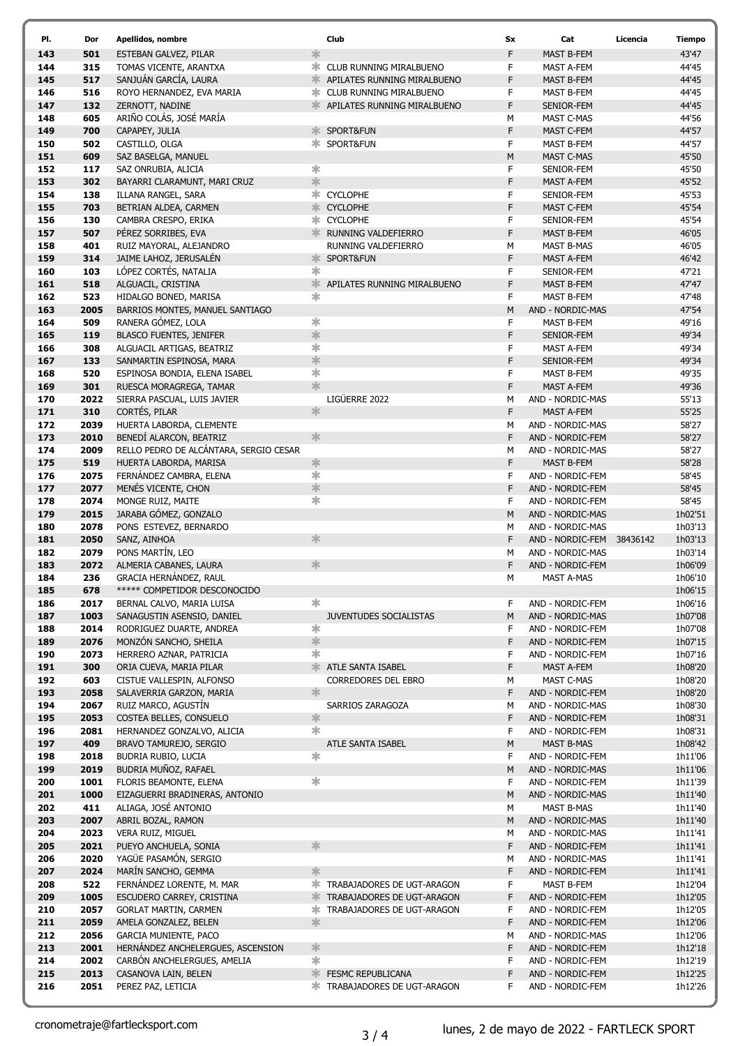| PI.        | Dor          | Apellidos, nombre                                                |               | Club                                 | <b>Sx</b> | Cat                                   | Licencia | <b>Tiempo</b>      |
|------------|--------------|------------------------------------------------------------------|---------------|--------------------------------------|-----------|---------------------------------------|----------|--------------------|
| 143        | 501          | ESTEBAN GALVEZ, PILAR                                            | $\ast$        |                                      | F         | <b>MAST B-FEM</b>                     |          | 43'47              |
| 144        | 315          | TOMAS VICENTE, ARANTXA                                           | ж.            | CLUB RUNNING MIRALBUENO              | F         | <b>MAST A-FEM</b>                     |          | 44'45              |
| 145        | 517          | SANJUÁN GARCÍA, LAURA                                            | ঃ⊧            | APILATES RUNNING MIRALBUENO          | F         | <b>MAST B-FEM</b>                     |          | 44'45              |
| 146        | 516          | ROYO HERNANDEZ, EVA MARIA                                        |               | <b>* CLUB RUNNING MIRALBUENO</b>     | F         | MAST B-FEM                            |          | 44'45              |
| 147        | 132          | ZERNOTT, NADINE                                                  | ≯k.           | APILATES RUNNING MIRALBUENO          | F         | <b>SENIOR-FEM</b>                     |          | 44'45              |
| 148        | 605          | ARIÑO COLÁS, JOSÉ MARÍA                                          |               |                                      | М         | MAST C-MAS                            |          | 44'56              |
| 149<br>150 | 700<br>502   | CAPAPEY, JULIA<br>CASTILLO, OLGA                                 | ≭             | SPORT&FUN<br>* SPORT&FUN             | F<br>F    | MAST C-FEM<br>MAST B-FEM              |          | 44'57<br>44'57     |
| 151        | 609          | SAZ BASELGA, MANUEL                                              |               |                                      | M         | <b>MAST C-MAS</b>                     |          | 45'50              |
| 152        | 117          | SAZ ONRUBIA, ALICIA                                              | $\ast$        |                                      | F         | SENIOR-FEM                            |          | 45'50              |
| 153        | 302          | BAYARRI CLARAMUNT, MARI CRUZ                                     | $\frac{1}{2}$ |                                      | F         | MAST A-FEM                            |          | 45'52              |
| 154        | 138          | ILLANA RANGEL, SARA                                              |               | * CYCLOPHE                           | F         | SENIOR-FEM                            |          | 45'53              |
| 155        | 703          | BETRIAN ALDEA, CARMEN                                            |               | * CYCLOPHE                           | F         | <b>MAST C-FEM</b>                     |          | 45'54              |
| 156        | 130          | CAMBRA CRESPO, ERIKA                                             |               | * CYCLOPHE                           | F         | SENIOR-FEM                            |          | 45'54              |
| 157        | 507          | PÉREZ SORRIBES, EVA                                              | ঃ⊧            | RUNNING VALDEFIERRO                  | F         | MAST B-FEM                            |          | 46'05              |
| 158        | 401          | RUIZ MAYORAL, ALEJANDRO                                          |               | RUNNING VALDEFIERRO                  | М         | MAST B-MAS                            |          | 46'05              |
| 159        | 314          | JAIME LAHOZ, JERUSALÉN                                           | 3β.           | SPORT&FUN                            | F         | <b>MAST A-FEM</b>                     |          | 46'42              |
| 160<br>161 | 103<br>518   | LÓPEZ CORTÉS, NATALIA<br>ALGUACIL, CRISTINA                      | $\ast$        | <b>* APILATES RUNNING MIRALBUENO</b> | F<br>F    | SENIOR-FEM                            |          | 47'21<br>47'47     |
| 162        | 523          | HIDALGO BONED, MARISA                                            | $\ast$        |                                      | F         | MAST B-FEM<br>MAST B-FEM              |          | 47'48              |
| 163        | 2005         | BARRIOS MONTES, MANUEL SANTIAGO                                  |               |                                      | M         | AND - NORDIC-MAS                      |          | 47'54              |
| 164        | 509          | RANERA GÓMEZ, LOLA                                               | ∗             |                                      | F         | <b>MAST B-FEM</b>                     |          | 49'16              |
| 165        | 119          | <b>BLASCO FUENTES, JENIFER</b>                                   | $\frac{1}{2}$ |                                      | F         | SENIOR-FEM                            |          | 49'34              |
| 166        | 308          | ALGUACIL ARTIGAS, BEATRIZ                                        | $\ast$        |                                      | F         | MAST A-FEM                            |          | 49'34              |
| 167        | 133          | SANMARTIN ESPINOSA, MARA                                         | 氺             |                                      | F         | SENIOR-FEM                            |          | 49'34              |
| 168        | 520          | ESPINOSA BONDIA, ELENA ISABEL                                    | $\ast$        |                                      | F         | MAST B-FEM                            |          | 49'35              |
| 169        | 301          | RUESCA MORAGREGA, TAMAR                                          | $\frac{1}{2}$ |                                      | F         | <b>MAST A-FEM</b>                     |          | 49'36              |
| 170        | 2022         | SIERRA PASCUAL, LUIS JAVIER                                      |               | LIGÜERRE 2022                        | M         | AND - NORDIC-MAS                      |          | 55'13              |
| 171<br>172 | 310<br>2039  | CORTÉS, PILAR<br>HUERTA LABORDA, CLEMENTE                        | $\frac{1}{2}$ |                                      | F<br>M    | <b>MAST A-FEM</b><br>AND - NORDIC-MAS |          | 55'25<br>58'27     |
| 173        | 2010         | BENEDÍ ALARCON, BEATRIZ                                          | 氺             |                                      | F         | AND - NORDIC-FEM                      |          | 58'27              |
| 174        | 2009         | RELLO PEDRO DE ALCÁNTARA, SERGIO CESAR                           |               |                                      | M         | AND - NORDIC-MAS                      |          | 58'27              |
| 175        | 519          | HUERTA LABORDA, MARISA                                           | 氺             |                                      | F         | MAST B-FEM                            |          | 58'28              |
| 176        | 2075         | FERNÁNDEZ CAMBRA, ELENA                                          | ∗             |                                      | F         | AND - NORDIC-FEM                      |          | 58'45              |
| 177        | 2077         | MENÉS VICENTE, CHON                                              | $\ast$        |                                      | F         | AND - NORDIC-FEM                      |          | 58'45              |
| 178        | 2074         | MONGE RUIZ, MAITE                                                | $\ast$        |                                      | F         | AND - NORDIC-FEM                      |          | 58'45              |
| 179        | 2015         | JARABA GÓMEZ, GONZALO                                            |               |                                      | M         | AND - NORDIC-MAS                      |          | 1h02'51            |
| 180        | 2078         | PONS ESTEVEZ, BERNARDO                                           |               |                                      | М         | AND - NORDIC-MAS                      |          | 1h03'13            |
| 181        | 2050         | SANZ, AINHOA                                                     | $\frac{1}{2}$ |                                      | F         | AND - NORDIC-FEM                      | 38436142 | 1h03'13            |
| 182<br>183 | 2079<br>2072 | PONS MARTÍN, LEO<br>ALMERIA CABANES, LAURA                       | 氺             |                                      | M<br>F    | AND - NORDIC-MAS                      |          | 1h03'14            |
| 184        | 236          | GRACIA HERNÁNDEZ, RAUL                                           |               |                                      | M         | AND - NORDIC-FEM<br>MAST A-MAS        |          | 1h06'09<br>1h06'10 |
| 185        | 678          | ***** COMPETIDOR DESCONOCIDO                                     |               |                                      |           |                                       |          | 1h06'15            |
| 186        | 2017         | BERNAL CALVO, MARIA LUISA                                        | $\ast$        |                                      | F         | AND - NORDIC-FEM                      |          | 1h06'16            |
| 187        | 1003         | SANAGUSTIN ASENSIO, DANIEL                                       |               | JUVENTUDES SOCIALISTAS               | M         | AND - NORDIC-MAS                      |          | 1h07'08            |
| 188        | 2014         | RODRIGUEZ DUARTE, ANDREA                                         | $\ast$        |                                      | F         | AND - NORDIC-FEM                      |          | 1h07'08            |
| 189        | 2076         | MONZÓN SANCHO, SHEILA                                            | $\ast$        |                                      | F         | AND - NORDIC-FEM                      |          | 1h07'15            |
| 190        | 2073         | HERRERO AZNAR, PATRICIA                                          | $\ast$        |                                      | F         | AND - NORDIC-FEM                      |          | 1h07'16            |
| 191        | 300          | ORIA CUEVA, MARIA PILAR                                          | 氺             | ATLE SANTA ISABEL                    | F         | MAST A-FEM                            |          | 1h08'20            |
| 192<br>193 | 603<br>2058  | CISTUE VALLESPIN, ALFONSO                                        | 氺             | CORREDORES DEL EBRO                  | M<br>F    | MAST C-MAS<br>AND - NORDIC-FEM        |          | 1h08'20<br>1h08'20 |
| 194        | 2067         | SALAVERRIA GARZON, MARIA<br>RUIZ MARCO, AGUSTÍN                  |               | SARRIOS ZARAGOZA                     | M         | AND - NORDIC-MAS                      |          | 1h08'30            |
| 195        | 2053         | COSTEA BELLES, CONSUELO                                          | 氺             |                                      | F         | AND - NORDIC-FEM                      |          | 1h08'31            |
| 196        | 2081         | HERNANDEZ GONZALVO, ALICIA                                       | $\ast$        |                                      | F         | AND - NORDIC-FEM                      |          | 1h08'31            |
| 197        | 409          | BRAVO TAMUREJO, SERGIO                                           |               | ATLE SANTA ISABEL                    | М         | <b>MAST B-MAS</b>                     |          | 1h08'42            |
| 198        | 2018         | BUDRIA RUBIO, LUCIA                                              | $\ast$        |                                      | F         | AND - NORDIC-FEM                      |          | 1h11'06            |
| 199        | 2019         | BUDRIA MUÑOZ, RAFAEL                                             |               |                                      | M         | AND - NORDIC-MAS                      |          | 1h11'06            |
| 200        | 1001         | FLORIS BEAMONTE, ELENA                                           | $\ast$        |                                      | F         | AND - NORDIC-FEM                      |          | 1h11'39            |
| 201        | 1000         | EIZAGUERRI BRADINERAS, ANTONIO                                   |               |                                      | M         | AND - NORDIC-MAS                      |          | 1h11'40            |
| 202        | 411          | ALIAGA, JOSÉ ANTONIO                                             |               |                                      | M         | <b>MAST B-MAS</b>                     |          | 1h11'40            |
| 203<br>204 | 2007         | ABRIL BOZAL, RAMON                                               |               |                                      | M         | AND - NORDIC-MAS<br>AND - NORDIC-MAS  |          | 1h11'40            |
| 205        | 2023<br>2021 | VERA RUIZ, MIGUEL<br>PUEYO ANCHUELA, SONIA                       | 氺             |                                      | M<br>F    | AND - NORDIC-FEM                      |          | 1h11'41<br>1h11'41 |
| 206        | 2020         | YAGÜE PASAMÓN, SERGIO                                            |               |                                      | M         | AND - NORDIC-MAS                      |          | 1h11'41            |
| 207        | 2024         | MARÍN SANCHO, GEMMA                                              | $\ast$        |                                      | F         | AND - NORDIC-FEM                      |          | 1h11'41            |
| 208        | 522          | FERNÁNDEZ LORENTE, M. MAR                                        | ∗.            | TRABAJADORES DE UGT-ARAGON           | F         | MAST B-FEM                            |          | 1h12'04            |
| 209        | 1005         | ESCUDERO CARREY, CRISTINA                                        | 氺             | TRABAJADORES DE UGT-ARAGON           | F         | AND - NORDIC-FEM                      |          | 1h12'05            |
| 210        | 2057         | <b>GORLAT MARTIN, CARMEN</b>                                     | ж.            | TRABAJADORES DE UGT-ARAGON           | F         | AND - NORDIC-FEM                      |          | 1h12'05            |
| 211        | 2059         | AMELA GONZALEZ, BELEN                                            | $\frac{1}{2}$ |                                      | F         | AND - NORDIC-FEM                      |          | 1h12'06            |
| 212        | 2056         | <b>GARCIA MUNIENTE, PACO</b>                                     |               |                                      | M         | AND - NORDIC-MAS                      |          | 1h12'06            |
| 213<br>214 | 2001<br>2002 | HERNÁNDEZ ANCHELERGUES, ASCENSION<br>CARBÓN ANCHELERGUES, AMELIA | 氺<br>$\ast$   |                                      | F<br>F    | AND - NORDIC-FEM<br>AND - NORDIC-FEM  |          | 1h12'18            |
| 215        | 2013         | CASANOVA LAIN, BELEN                                             | 氺             | <b>FESMC REPUBLICANA</b>             | F         | AND - NORDIC-FEM                      |          | 1h12'19<br>1h12'25 |
| 216        | 2051         | PEREZ PAZ, LETICIA                                               |               | TRABAJADORES DE UGT-ARAGON           | F         | AND - NORDIC-FEM                      |          | 1h12'26            |
|            |              |                                                                  |               |                                      |           |                                       |          |                    |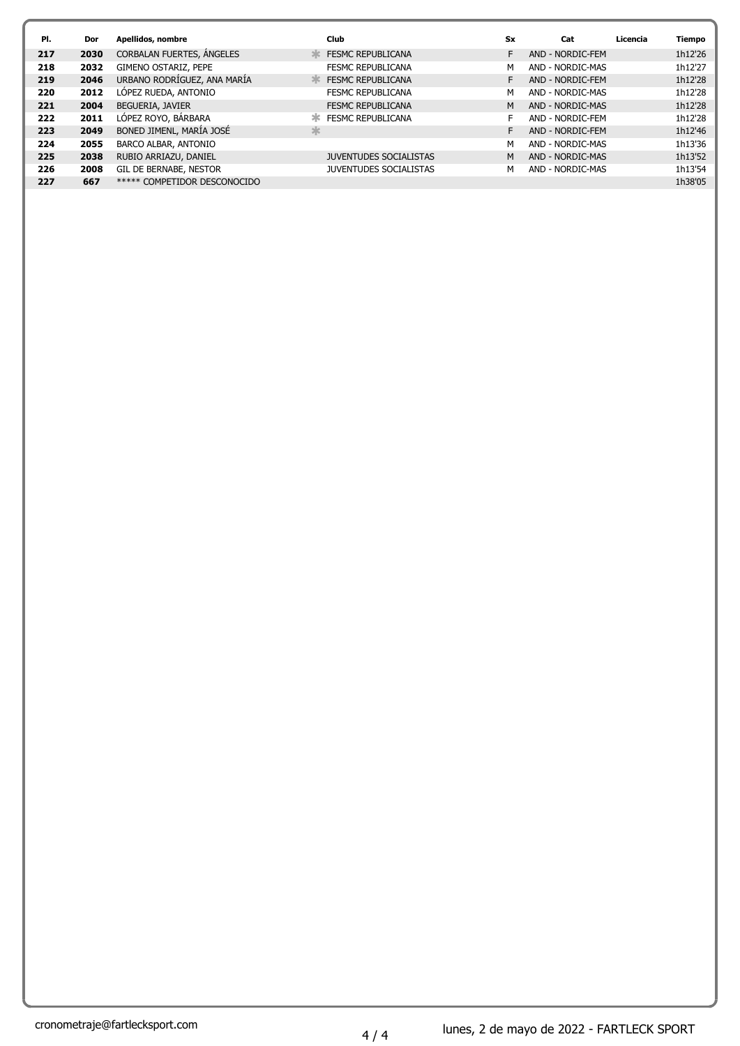| PI. | Dor  | Apellidos, nombre            |               | <b>Club</b>                   | <b>Sx</b> | Cat              | Licencia | <b>Tiempo</b> |
|-----|------|------------------------------|---------------|-------------------------------|-----------|------------------|----------|---------------|
| 217 | 2030 | CORBALAN FUERTES, ANGELES    | 3<            | <b>FESMC REPUBLICANA</b>      | F         | AND - NORDIC-FEM |          | 1h12'26       |
| 218 | 2032 | GIMENO OSTARIZ, PEPE         |               | <b>FESMC REPUBLICANA</b>      | М         | AND - NORDIC-MAS |          | 1h12'27       |
| 219 | 2046 | URBANO RODRÍGUEZ, ANA MARÍA  | $\frac{1}{2}$ | <b>FESMC REPUBLICANA</b>      | F         | AND - NORDIC-FEM |          | 1h12'28       |
| 220 | 2012 | LOPEZ RUEDA, ANTONIO         |               | <b>FESMC REPUBLICANA</b>      | м         | AND - NORDIC-MAS |          | 1h12'28       |
| 221 | 2004 | BEGUERIA, JAVIER             |               | <b>FESMC REPUBLICANA</b>      | M         | AND - NORDIC-MAS |          | 1h12'28       |
| 222 | 2011 | LÓPEZ ROYO, BÁRBARA          | ж             | <b>FESMC REPUBLICANA</b>      | F         | AND - NORDIC-FEM |          | 1h12'28       |
| 223 | 2049 | BONED JIMENL, MARÍA JOSÉ     | 氺             |                               | F         | AND - NORDIC-FEM |          | 1h12'46       |
| 224 | 2055 | BARCO ALBAR, ANTONIO         |               |                               | М         | AND - NORDIC-MAS |          | 1h13'36       |
| 225 | 2038 | RUBIO ARRIAZU, DANIEL        |               | <b>JUVENTUDES SOCIALISTAS</b> | M         | AND - NORDIC-MAS |          | 1h13'52       |
| 226 | 2008 | GIL DE BERNABE, NESTOR       |               | <b>JUVENTUDES SOCIALISTAS</b> | м         | AND - NORDIC-MAS |          | 1h13'54       |
| 227 | 667  | ***** COMPETIDOR DESCONOCIDO |               |                               |           |                  |          | 1h38'05       |
|     |      |                              |               |                               |           |                  |          |               |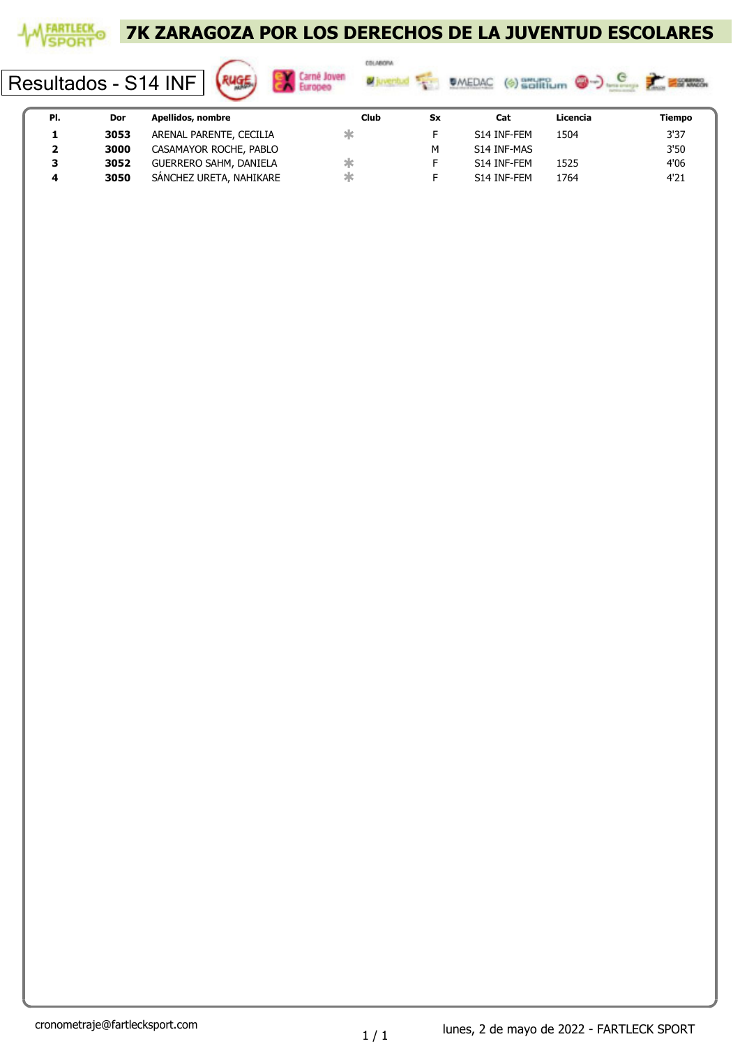

Resultados - S14 INF





| PI. | Dor  | Apellidos, nombre             | Club | Sx | Cat         | Licencia | Tiempo |
|-----|------|-------------------------------|------|----|-------------|----------|--------|
|     | 3053 | ARENAL PARENTE, CECILIA       |      |    | S14 INF-FEM | 1504     | 3'37   |
| ▴   | 3000 | CASAMAYOR ROCHE, PABLO        |      |    | S14 INF-MAS |          | 3'50   |
| 3   | 3052 | <b>GUERRERO SAHM, DANIELA</b> |      |    | S14 INF-FEM | 1525     | 4'06   |
|     | 3050 | SÁNCHEZ URETA, NAHIKARE       | Жć   |    | S14 INF-FEM | 1764     | 4'21   |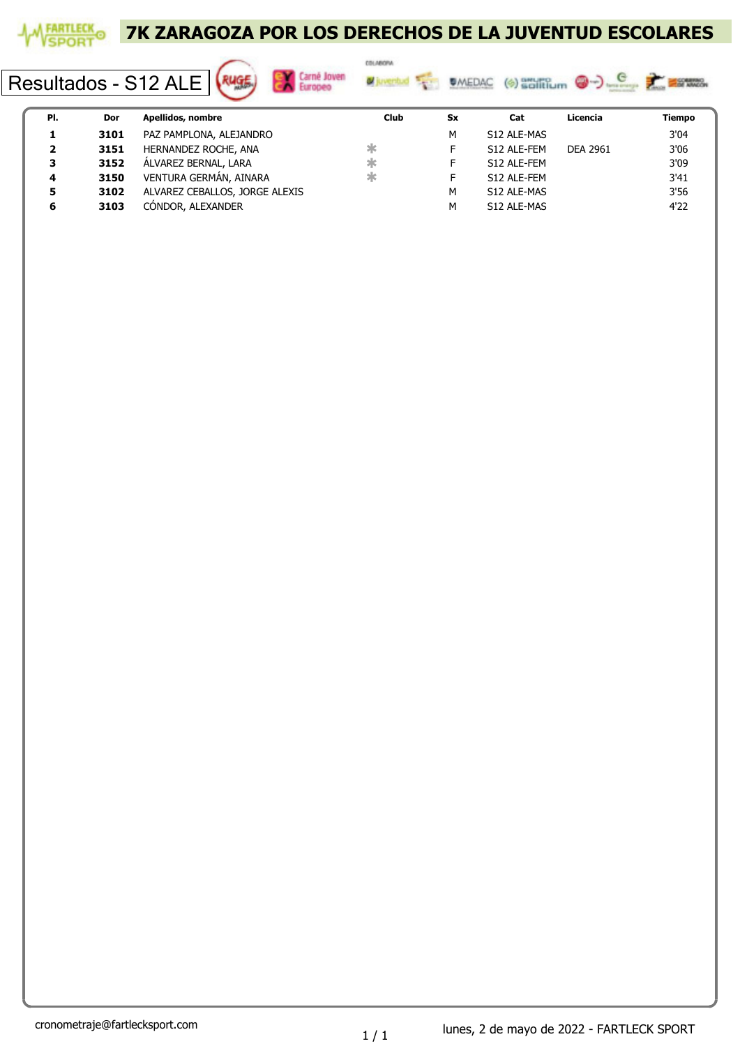

Resultados - S12 ALE





| PI.          | Dor  | Apellidos, nombre              | Club | Sx | Cat         | Licencia | Tiempo |
|--------------|------|--------------------------------|------|----|-------------|----------|--------|
|              | 3101 | PAZ PAMPLONA, ALEJANDRO        |      | м  | S12 ALE-MAS |          | 3'04   |
| $\mathbf{2}$ | 3151 | HERNANDEZ ROCHE, ANA           | ж    |    | S12 ALE-FEM | DEA 2961 | 3'06   |
| 3            | 3152 | ÁLVAREZ BERNAL, LARA           | ж    |    | S12 ALE-FEM |          | 3'09   |
| 4            | 3150 | VENTURA GERMÁN, AINARA         | ж    |    | S12 ALE-FEM |          | 3'41   |
| 5            | 3102 | ALVAREZ CEBALLOS, JORGE ALEXIS |      | м  | S12 ALE-MAS |          | 3'56   |
|              | 3103 | CÓNDOR, ALEXANDER              |      | м  | S12 ALE-MAS |          | 4'22   |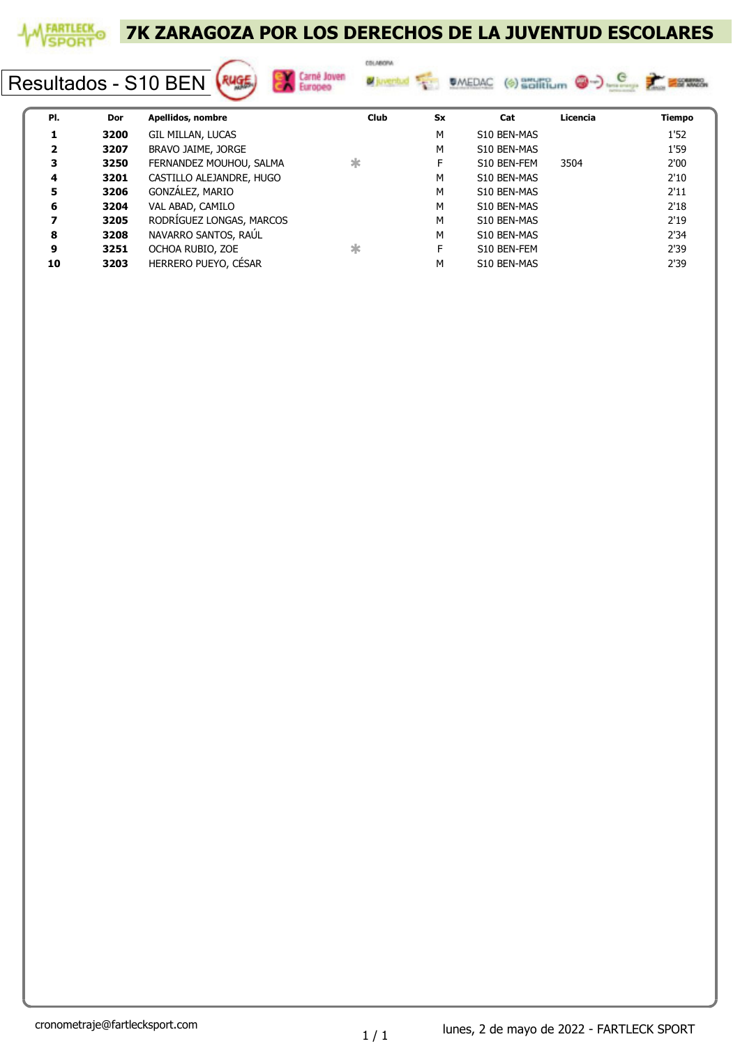

Resultados - S10 BEN (Ruge)







| PI. | Dor  | Apellidos, nombre        | <b>Club</b> | <b>Sx</b> | Cat         | Licencia | Tiempo |
|-----|------|--------------------------|-------------|-----------|-------------|----------|--------|
|     | 3200 | GIL MILLAN, LUCAS        |             | М         | S10 BEN-MAS |          | 1'52   |
| 2   | 3207 | BRAVO JAIME, JORGE       |             | М         | S10 BEN-MAS |          | 1'59   |
| 3   | 3250 | FERNANDEZ MOUHOU, SALMA  | $\ast$      | F         | S10 BEN-FEM | 3504     | 2'00   |
| 4   | 3201 | CASTILLO ALEJANDRE, HUGO |             | М         | S10 BEN-MAS |          | 2'10   |
| 5   | 3206 | GONZÁLEZ, MARIO          |             | M         | S10 BEN-MAS |          | 2'11   |
| 6   | 3204 | VAL ABAD, CAMILO         |             | M         | S10 BEN-MAS |          | 2'18   |
|     | 3205 | RODRIGUEZ LONGAS, MARCOS |             | M         | S10 BEN-MAS |          | 2'19   |
| 8   | 3208 | NAVARRO SANTOS, RAÚL     |             | M         | S10 BEN-MAS |          | 2'34   |
| 9   | 3251 | OCHOA RUBIO, ZOE         | ж           | F         | S10 BEN-FEM |          | 2'39   |
| 10  | 3203 | HERRERO PUEYO, CÉSAR     |             | М         | S10 BEN-MAS |          | 2'39   |